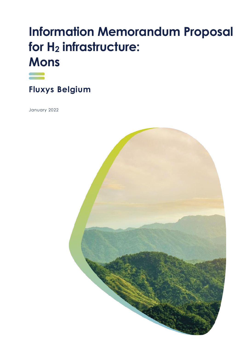# **Information Memorandum Proposal for H<sup>2</sup> infrastructure: Mons**



**Fluxys Belgium** 

January 2022

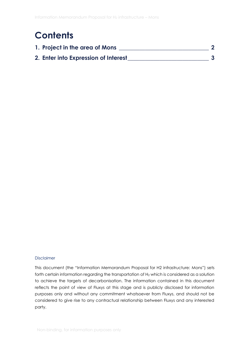### **Contents**

| 1. Project in the area of Mons       |  |
|--------------------------------------|--|
| 2. Enter into Expression of Interest |  |

#### Disclaimer

This document (the "Information Memorandum Proposal for H2 infrastructure: Mons") sets forth certain information regarding the transportation of H<sub>2</sub> which is considered as a solution to achieve the targets of decarbonisation. The information contained in this document reflects the point of view of Fluxys at this stage and is publicly disclosed for information purposes only and without any commitment whatsoever from Fluxys, and should not be considered to give rise to any contractual relationship between Fluxys and any interested party.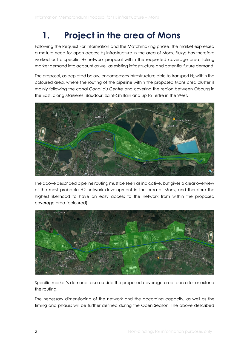### <span id="page-2-0"></span>**1. Project in the area of Mons**

Following the Request For Information and the Matchmaking phase, the market expressed a mature need for open access  $H_2$  infrastructure in the area of Mons. Fluxys has therefore worked out a specific H<sub>2</sub> network proposal within the requested coverage area, taking market demand into account as well as existing infrastructure and potential future demand.

The proposal, as depicted below, encompasses infrastructure able to transport H<sub>2</sub> within the coloured area, where the routing of the pipeline within the proposed Mons area cluster is mainly following the canal *Canal du Centre* and covering the region between Obourg in the East, along Maisières, Baudour, Saint-Ghislain and up to Tertre in the West.



The above described pipeline routing must be seen as indicative, but gives a clear overview of the most probable H2 network development in the area of Mons, and therefore the highest likelihood to have an easy access to the network from within the proposed coverage area (coloured).



Specific market's demand, also outside the proposed coverage area, can alter or extend the routing.

The necessary dimensioning of the network and the according capacity, as well as the timing and phases will be further defined during the Open Season. The above described